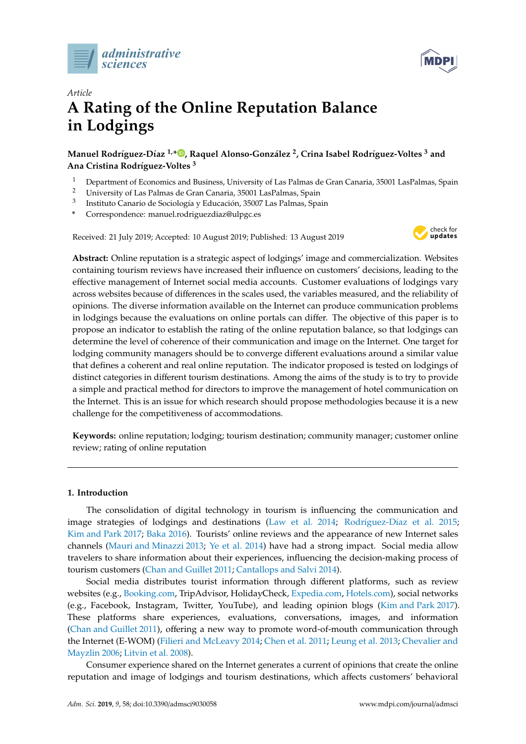



# *Article* **A Rating of the Online Reputation Balance in Lodgings**

**Manuel Rodríguez-Díaz 1,\* [,](https://orcid.org/0000-0003-2513-418X) Raquel Alonso-González <sup>2</sup> , Crina Isabel Rodríguez-Voltes <sup>3</sup> and Ana Cristina Rodríguez-Voltes <sup>3</sup>**

- <sup>1</sup> Department of Economics and Business, University of Las Palmas de Gran Canaria, 35001 LasPalmas, Spain<br><sup>2</sup> University of Las Palmas de Gran Canaria, 25001 LasPalmas, Spain
- <sup>2</sup> University of Las Palmas de Gran Canaria, 35001 LasPalmas, Spain
- 3 Instituto Canario de Sociología y Educación, 35007 Las Palmas, Spain
- **\*** Correspondence: manuel.rodriguezdiaz@ulpgc.es

Received: 21 July 2019; Accepted: 10 August 2019; Published: 13 August 2019



**Abstract:** Online reputation is a strategic aspect of lodgings' image and commercialization. Websites containing tourism reviews have increased their influence on customers' decisions, leading to the effective management of Internet social media accounts. Customer evaluations of lodgings vary across websites because of differences in the scales used, the variables measured, and the reliability of opinions. The diverse information available on the Internet can produce communication problems in lodgings because the evaluations on online portals can differ. The objective of this paper is to propose an indicator to establish the rating of the online reputation balance, so that lodgings can determine the level of coherence of their communication and image on the Internet. One target for lodging community managers should be to converge different evaluations around a similar value that defines a coherent and real online reputation. The indicator proposed is tested on lodgings of distinct categories in different tourism destinations. Among the aims of the study is to try to provide a simple and practical method for directors to improve the management of hotel communication on the Internet. This is an issue for which research should propose methodologies because it is a new challenge for the competitiveness of accommodations.

**Keywords:** online reputation; lodging; tourism destination; community manager; customer online review; rating of online reputation

# **1. Introduction**

The consolidation of digital technology in tourism is influencing the communication and image strategies of lodgings and destinations [\(Law et al.](#page-15-0) [2014;](#page-15-0) Rodríguez-Dí[az et al.](#page-16-0) [2015;](#page-16-0) [Kim and Park](#page-15-1) [2017;](#page-15-1) [Baka](#page-14-0) [2016\)](#page-14-0). Tourists' online reviews and the appearance of new Internet sales channels [\(Mauri and Minazzi](#page-15-2) [2013;](#page-15-2) [Ye et al.](#page-17-0) [2014\)](#page-17-0) have had a strong impact. Social media allow travelers to share information about their experiences, influencing the decision-making process of tourism customers [\(Chan and Guillet](#page-14-1) [2011;](#page-14-1) [Cantallops and Salvi](#page-14-2) [2014\)](#page-14-2).

Social media distributes tourist information through different platforms, such as review websites (e.g., [Booking.com,](Booking.com) TripAdvisor, HolidayCheck, [Expedia.com,](Expedia.com) [Hotels.com\)](Hotels.com), social networks (e.g., Facebook, Instagram, Twitter, YouTube), and leading opinion blogs [\(Kim and Park](#page-15-1) [2017\)](#page-15-1). These platforms share experiences, evaluations, conversations, images, and information [\(Chan and Guillet](#page-14-1) [2011\)](#page-14-1), offering a new way to promote word-of-mouth communication through the Internet (E-WOM) [\(Filieri and McLeavy](#page-14-3) [2014;](#page-14-3) [Chen et al.](#page-14-4) [2011;](#page-14-4) [Leung et al.](#page-15-3) [2013;](#page-15-3) [Chevalier and](#page-14-5) [Mayzlin](#page-14-5) [2006;](#page-14-5) [Litvin et al.](#page-15-4) [2008\)](#page-15-4).

Consumer experience shared on the Internet generates a current of opinions that create the online reputation and image of lodgings and tourism destinations, which affects customers' behavioral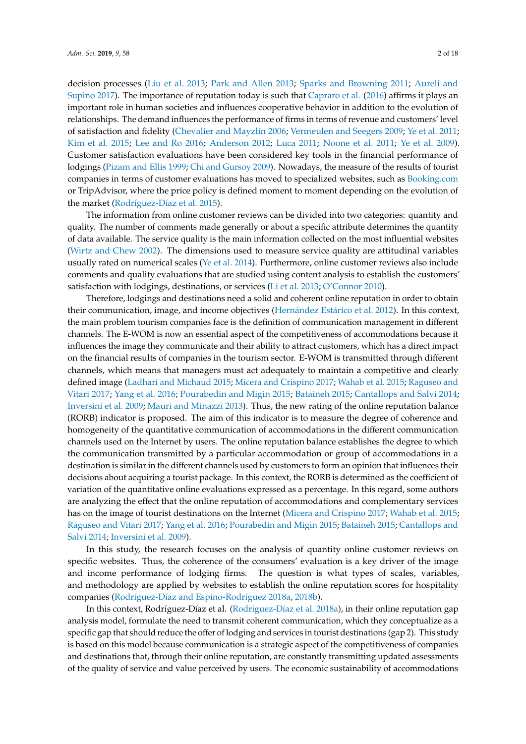decision processes [\(Liu et al.](#page-15-5) [2013;](#page-15-5) [Park and Allen](#page-16-1) [2013;](#page-16-1) [Sparks and Browning](#page-17-1) [2011;](#page-17-1) [Aureli and](#page-14-6) [Supino](#page-14-6) [2017\)](#page-14-6). The importance of reputation today is such that [Capraro et al.](#page-14-7) [\(2016\)](#page-14-7) affirms it plays an important role in human societies and influences cooperative behavior in addition to the evolution of relationships. The demand influences the performance of firms in terms of revenue and customers' level of satisfaction and fidelity [\(Chevalier and Mayzlin](#page-14-5) [2006;](#page-14-5) [Vermeulen and Seegers](#page-17-2) [2009;](#page-17-2) [Ye et al.](#page-17-3) [2011;](#page-17-3) [Kim et al.](#page-15-6) [2015;](#page-15-6) [Lee and Ro](#page-15-7) [2016;](#page-15-7) [Anderson](#page-14-8) [2012;](#page-14-8) [Luca](#page-15-8) [2011;](#page-15-8) [Noone et al.](#page-16-2) [2011;](#page-16-2) [Ye et al.](#page-17-4) [2009\)](#page-17-4). Customer satisfaction evaluations have been considered key tools in the financial performance of lodgings [\(Pizam and Ellis](#page-16-3) [1999;](#page-16-3) [Chi and Gursoy](#page-14-9) [2009\)](#page-14-9). Nowadays, the measure of the results of tourist companies in terms of customer evaluations has moved to specialized websites, such as <Booking.com> or TripAdvisor, where the price policy is defined moment to moment depending on the evolution of the market (Rodríguez-Dí[az et al.](#page-16-0) [2015\)](#page-16-0).

The information from online customer reviews can be divided into two categories: quantity and quality. The number of comments made generally or about a specific attribute determines the quantity of data available. The service quality is the main information collected on the most influential websites [\(Wirtz and Chew](#page-17-5) [2002\)](#page-17-5). The dimensions used to measure service quality are attitudinal variables usually rated on numerical scales [\(Ye et al.](#page-17-0) [2014\)](#page-17-0). Furthermore, online customer reviews also include comments and quality evaluations that are studied using content analysis to establish the customers' satisfaction with lodgings, destinations, or services [\(Li et al.](#page-15-9) [2013;](#page-15-9) [O'Connor](#page-16-4) [2010\)](#page-16-4).

Therefore, lodgings and destinations need a solid and coherent online reputation in order to obtain their communication, image, and income objectives (Hernández Está[rico et al.](#page-15-10) [2012\)](#page-15-10). In this context, the main problem tourism companies face is the definition of communication management in different channels. The E-WOM is now an essential aspect of the competitiveness of accommodations because it influences the image they communicate and their ability to attract customers, which has a direct impact on the financial results of companies in the tourism sector. E-WOM is transmitted through different channels, which means that managers must act adequately to maintain a competitive and clearly defined image [\(Ladhari and Michaud](#page-15-11) [2015;](#page-15-11) [Micera and Crispino](#page-16-5) [2017;](#page-16-5) [Wahab et al.](#page-17-6) [2015;](#page-17-6) [Raguseo and](#page-16-6) [Vitari](#page-16-6) [2017;](#page-16-6) [Yang et al.](#page-17-7) [2016;](#page-17-7) [Pourabedin and Migin](#page-16-7) [2015;](#page-16-7) [Bataineh](#page-14-10) [2015;](#page-14-10) [Cantallops and Salvi](#page-14-2) [2014;](#page-14-2) [Inversini et al.](#page-15-12) [2009;](#page-15-12) [Mauri and Minazzi](#page-15-2) [2013\)](#page-15-2). Thus, the new rating of the online reputation balance (RORB) indicator is proposed. The aim of this indicator is to measure the degree of coherence and homogeneity of the quantitative communication of accommodations in the different communication channels used on the Internet by users. The online reputation balance establishes the degree to which the communication transmitted by a particular accommodation or group of accommodations in a destination is similar in the different channels used by customers to form an opinion that influences their decisions about acquiring a tourist package. In this context, the RORB is determined as the coefficient of variation of the quantitative online evaluations expressed as a percentage. In this regard, some authors are analyzing the effect that the online reputation of accommodations and complementary services has on the image of tourist destinations on the Internet [\(Micera and Crispino](#page-16-5) [2017;](#page-16-5) [Wahab et al.](#page-17-6) [2015;](#page-17-6) [Raguseo and Vitari](#page-16-6) [2017;](#page-16-6) [Yang et al.](#page-17-7) [2016;](#page-17-7) [Pourabedin and Migin](#page-16-7) [2015;](#page-16-7) [Bataineh](#page-14-10) [2015;](#page-14-10) [Cantallops and](#page-14-2) [Salvi](#page-14-2) [2014;](#page-14-2) [Inversini et al.](#page-15-12) [2009\)](#page-15-12).

In this study, the research focuses on the analysis of quantity online customer reviews on specific websites. Thus, the coherence of the consumers' evaluation is a key driver of the image and income performance of lodging firms. The question is what types of scales, variables, and methodology are applied by websites to establish the online reputation scores for hospitality companies (Rodríguez-Dí[az and Espino-Rodr](#page-16-8)íguez [2018a,](#page-16-8) [2018b\)](#page-16-9).

In this context, Rodríguez-Díaz et al. (Rodríguez-Dí[az et al.](#page-16-10) [2018a\)](#page-16-10), in their online reputation gap analysis model, formulate the need to transmit coherent communication, which they conceptualize as a specific gap that should reduce the offer of lodging and services in tourist destinations (gap 2). This study is based on this model because communication is a strategic aspect of the competitiveness of companies and destinations that, through their online reputation, are constantly transmitting updated assessments of the quality of service and value perceived by users. The economic sustainability of accommodations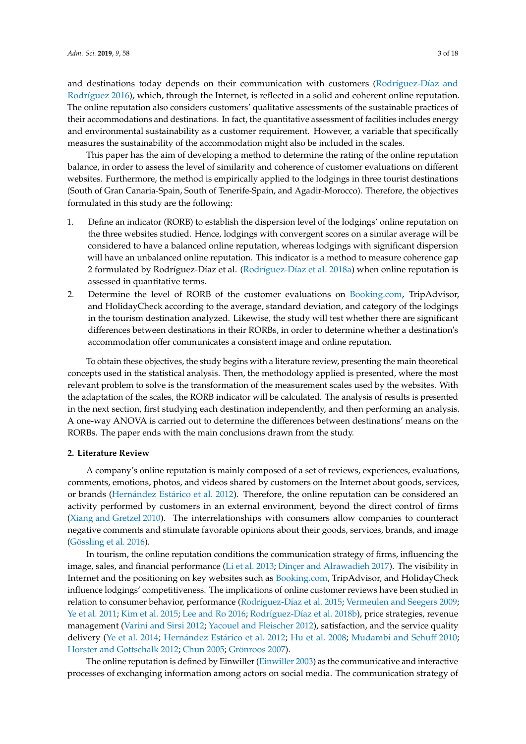and destinations today depends on their communication with customers (Rodrí[guez-D](#page-16-11)íaz and [Rodr](#page-16-11)íguez [2016\)](#page-16-11), which, through the Internet, is reflected in a solid and coherent online reputation. The online reputation also considers customers' qualitative assessments of the sustainable practices of their accommodations and destinations. In fact, the quantitative assessment of facilities includes energy and environmental sustainability as a customer requirement. However, a variable that specifically measures the sustainability of the accommodation might also be included in the scales.

This paper has the aim of developing a method to determine the rating of the online reputation balance, in order to assess the level of similarity and coherence of customer evaluations on different websites. Furthermore, the method is empirically applied to the lodgings in three tourist destinations (South of Gran Canaria-Spain, South of Tenerife-Spain, and Agadir-Morocco). Therefore, the objectives formulated in this study are the following:

- 1. Define an indicator (RORB) to establish the dispersion level of the lodgings' online reputation on the three websites studied. Hence, lodgings with convergent scores on a similar average will be considered to have a balanced online reputation, whereas lodgings with significant dispersion will have an unbalanced online reputation. This indicator is a method to measure coherence gap 2 formulated by Rodríguez-Díaz et al. (Rodríguez-Dí[az et al.](#page-16-10) [2018a\)](#page-16-10) when online reputation is assessed in quantitative terms.
- 2. Determine the level of RORB of the customer evaluations on [Booking.com,](Booking.com) TripAdvisor, and HolidayCheck according to the average, standard deviation, and category of the lodgings in the tourism destination analyzed. Likewise, the study will test whether there are significant differences between destinations in their RORBs, in order to determine whether a destination's accommodation offer communicates a consistent image and online reputation.

To obtain these objectives, the study begins with a literature review, presenting the main theoretical concepts used in the statistical analysis. Then, the methodology applied is presented, where the most relevant problem to solve is the transformation of the measurement scales used by the websites. With the adaptation of the scales, the RORB indicator will be calculated. The analysis of results is presented in the next section, first studying each destination independently, and then performing an analysis. A one-way ANOVA is carried out to determine the differences between destinations' means on the RORBs. The paper ends with the main conclusions drawn from the study.

#### **2. Literature Review**

A company's online reputation is mainly composed of a set of reviews, experiences, evaluations, comments, emotions, photos, and videos shared by customers on the Internet about goods, services, or brands (Hernández Está[rico et al.](#page-15-10) [2012\)](#page-15-10). Therefore, the online reputation can be considered an activity performed by customers in an external environment, beyond the direct control of firms [\(Xiang and Gretzel](#page-17-8) [2010\)](#page-17-8). The interrelationships with consumers allow companies to counteract negative comments and stimulate favorable opinions about their goods, services, brands, and image [\(Gössling et al.](#page-15-13) [2016\)](#page-15-13).

In tourism, the online reputation conditions the communication strategy of firms, influencing the image, sales, and financial performance [\(Li et al.](#page-15-9) [2013;](#page-15-9) [Dinçer and Alrawadieh](#page-14-11) [2017\)](#page-14-11). The visibility in Internet and the positioning on key websites such as [Booking.com,](Booking.com) TripAdvisor, and HolidayCheck influence lodgings' competitiveness. The implications of online customer reviews have been studied in relation to consumer behavior, performance (Rodríguez-Dí[az et al.](#page-16-0) [2015;](#page-16-0) [Vermeulen and Seegers](#page-17-2) [2009;](#page-17-2) [Ye et al.](#page-17-3) [2011;](#page-17-3) [Kim et al.](#page-15-6) [2015;](#page-15-6) [Lee and Ro](#page-15-7) [2016;](#page-15-7) Rodríguez-Dí[az et al.](#page-16-12) [2018b\)](#page-16-12), price strategies, revenue management [\(Varini and Sirsi](#page-17-9) [2012;](#page-17-9) [Yacouel and Fleischer](#page-17-10) [2012\)](#page-17-10), satisfaction, and the service quality delivery [\(Ye et al.](#page-17-0) [2014;](#page-17-0) Hernández Está[rico et al.](#page-15-10) [2012;](#page-15-10) [Hu et al.](#page-15-14) [2008;](#page-15-14) [Mudambi and Schu](#page-16-13)ff [2010;](#page-16-13) [Horster and Gottschalk](#page-15-15) [2012;](#page-15-15) [Chun](#page-14-12) [2005;](#page-14-12) [Grönroos](#page-15-16) [2007\)](#page-15-16).

The online reputation is defined by Einwiller [\(Einwiller](#page-14-13) [2003\)](#page-14-13) as the communicative and interactive processes of exchanging information among actors on social media. The communication strategy of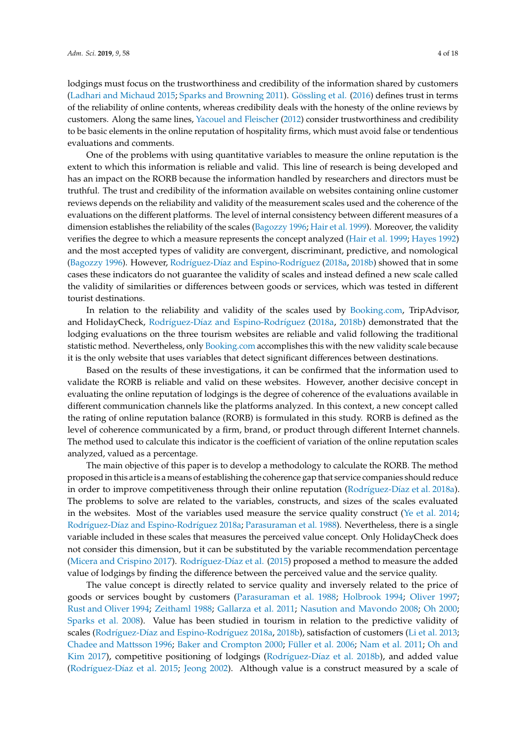lodgings must focus on the trustworthiness and credibility of the information shared by customers [\(Ladhari and Michaud](#page-15-11) [2015;](#page-15-11) [Sparks and Browning](#page-17-1) [2011\)](#page-17-1). [Gössling et al.](#page-15-13) [\(2016\)](#page-15-13) defines trust in terms of the reliability of online contents, whereas credibility deals with the honesty of the online reviews by customers. Along the same lines, [Yacouel and Fleischer](#page-17-10) [\(2012\)](#page-17-10) consider trustworthiness and credibility to be basic elements in the online reputation of hospitality firms, which must avoid false or tendentious evaluations and comments.

One of the problems with using quantitative variables to measure the online reputation is the extent to which this information is reliable and valid. This line of research is being developed and has an impact on the RORB because the information handled by researchers and directors must be truthful. The trust and credibility of the information available on websites containing online customer reviews depends on the reliability and validity of the measurement scales used and the coherence of the evaluations on the different platforms. The level of internal consistency between different measures of a dimension establishes the reliability of the scales [\(Bagozzy](#page-14-14) [1996;](#page-14-14) [Hair et al.](#page-15-17) [1999\)](#page-15-17). Moreover, the validity verifies the degree to which a measure represents the concept analyzed [\(Hair et al.](#page-15-17) [1999;](#page-15-17) [Hayes](#page-15-18) [1992\)](#page-15-18) and the most accepted types of validity are convergent, discriminant, predictive, and nomological [\(Bagozzy](#page-14-14) [1996\)](#page-14-14). However, Rodríguez-Dí[az and Espino-Rodr](#page-16-8)íguez [\(2018a,](#page-16-8) [2018b\)](#page-16-9) showed that in some cases these indicators do not guarantee the validity of scales and instead defined a new scale called the validity of similarities or differences between goods or services, which was tested in different tourist destinations.

In relation to the reliability and validity of the scales used by [Booking.com,](Booking.com) TripAdvisor, and HolidayCheck, Rodríguez-Dí[az and Espino-Rodr](#page-16-8)íguez [\(2018a,](#page-16-8) [2018b\)](#page-16-9) demonstrated that the lodging evaluations on the three tourism websites are reliable and valid following the traditional statistic method. Nevertheless, only <Booking.com> accomplishes this with the new validity scale because it is the only website that uses variables that detect significant differences between destinations.

Based on the results of these investigations, it can be confirmed that the information used to validate the RORB is reliable and valid on these websites. However, another decisive concept in evaluating the online reputation of lodgings is the degree of coherence of the evaluations available in different communication channels like the platforms analyzed. In this context, a new concept called the rating of online reputation balance (RORB) is formulated in this study. RORB is defined as the level of coherence communicated by a firm, brand, or product through different Internet channels. The method used to calculate this indicator is the coefficient of variation of the online reputation scales analyzed, valued as a percentage.

The main objective of this paper is to develop a methodology to calculate the RORB. The method proposed in this article is a means of establishing the coherence gap that service companies should reduce in order to improve competitiveness through their online reputation (Rodríguez-Dí[az et al.](#page-16-10) [2018a\)](#page-16-10). The problems to solve are related to the variables, constructs, and sizes of the scales evaluated in the websites. Most of the variables used measure the service quality construct [\(Ye et al.](#page-17-0) [2014;](#page-17-0) Rodríguez-Dí[az and Espino-Rodr](#page-16-8)íguez [2018a;](#page-16-8) [Parasuraman et al.](#page-16-14) [1988\)](#page-16-14). Nevertheless, there is a single variable included in these scales that measures the perceived value concept. Only HolidayCheck does not consider this dimension, but it can be substituted by the variable recommendation percentage [\(Micera and Crispino](#page-16-5) [2017\)](#page-16-5). Rodríguez-Dí[az et al.](#page-16-0) [\(2015\)](#page-16-0) proposed a method to measure the added value of lodgings by finding the difference between the perceived value and the service quality.

The value concept is directly related to service quality and inversely related to the price of goods or services bought by customers [\(Parasuraman et al.](#page-16-14) [1988;](#page-16-14) [Holbrook](#page-15-19) [1994;](#page-15-19) [Oliver](#page-16-15) [1997;](#page-16-15) [Rust and Oliver](#page-17-11) [1994;](#page-17-11) [Zeithaml](#page-17-12) [1988;](#page-17-12) [Gallarza et al.](#page-15-20) [2011;](#page-15-20) [Nasution and Mavondo](#page-16-16) [2008;](#page-16-16) [Oh](#page-16-17) [2000;](#page-16-17) [Sparks et al.](#page-17-13) [2008\)](#page-17-13). Value has been studied in tourism in relation to the predictive validity of scales (Rodríguez-Dí[az and Espino-Rodr](#page-16-8)íguez [2018a,](#page-16-8) [2018b\)](#page-16-9), satisfaction of customers [\(Li et al.](#page-15-9) [2013;](#page-15-9) [Chadee and Mattsson](#page-14-15) [1996;](#page-14-15) [Baker and Crompton](#page-14-16) [2000;](#page-14-16) [Füller et al.](#page-14-17) [2006;](#page-14-17) [Nam et al.](#page-16-18) [2011;](#page-16-18) [Oh and](#page-16-19) [Kim](#page-16-19) [2017\)](#page-16-19), competitive positioning of lodgings (Rodríguez-Dí[az et al.](#page-16-12) [2018b\)](#page-16-12), and added value (Rodríguez-Dí[az et al.](#page-16-0) [2015;](#page-16-0) [Jeong](#page-15-21) [2002\)](#page-15-21). Although value is a construct measured by a scale of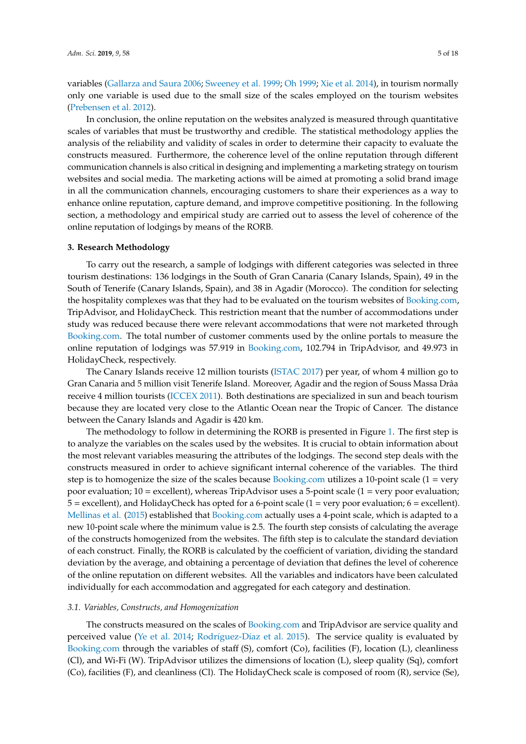variables [\(Gallarza and Saura](#page-14-18) [2006;](#page-14-18) [Sweeney et al.](#page-17-14) [1999;](#page-17-14) [Oh](#page-16-20) [1999;](#page-16-20) [Xie et al.](#page-17-15) [2014\)](#page-17-15), in tourism normally only one variable is used due to the small size of the scales employed on the tourism websites [\(Prebensen et al.](#page-16-21) [2012\)](#page-16-21).

In conclusion, the online reputation on the websites analyzed is measured through quantitative scales of variables that must be trustworthy and credible. The statistical methodology applies the analysis of the reliability and validity of scales in order to determine their capacity to evaluate the constructs measured. Furthermore, the coherence level of the online reputation through different communication channels is also critical in designing and implementing a marketing strategy on tourism websites and social media. The marketing actions will be aimed at promoting a solid brand image in all the communication channels, encouraging customers to share their experiences as a way to enhance online reputation, capture demand, and improve competitive positioning. In the following section, a methodology and empirical study are carried out to assess the level of coherence of the online reputation of lodgings by means of the RORB.

## **3. Research Methodology**

To carry out the research, a sample of lodgings with different categories was selected in three tourism destinations: 136 lodgings in the South of Gran Canaria (Canary Islands, Spain), 49 in the South of Tenerife (Canary Islands, Spain), and 38 in Agadir (Morocco). The condition for selecting the hospitality complexes was that they had to be evaluated on the tourism websites of [Booking.com,](Booking.com) TripAdvisor, and HolidayCheck. This restriction meant that the number of accommodations under study was reduced because there were relevant accommodations that were not marketed through [Booking.com.](Booking.com) The total number of customer comments used by the online portals to measure the online reputation of lodgings was 57.919 in [Booking.com,](Booking.com) 102.794 in TripAdvisor, and 49.973 in HolidayCheck, respectively.

The Canary Islands receive 12 million tourists [\(ISTAC](#page-15-22) [2017\)](#page-15-22) per year, of whom 4 million go to Gran Canaria and 5 million visit Tenerife Island. Moreover, Agadir and the region of Souss Massa Drâa receive 4 million tourists [\(ICCEX](#page-15-23) [2011\)](#page-15-23). Both destinations are specialized in sun and beach tourism because they are located very close to the Atlantic Ocean near the Tropic of Cancer. The distance between the Canary Islands and Agadir is 420 km.

The methodology to follow in determining the RORB is presented in Figure [1.](#page-5-0) The first step is to analyze the variables on the scales used by the websites. It is crucial to obtain information about the most relevant variables measuring the attributes of the lodgings. The second step deals with the constructs measured in order to achieve significant internal coherence of the variables. The third step is to homogenize the size of the scales because <Booking.com> utilizes a 10-point scale  $(1 = \text{very}$ poor evaluation;  $10 =$  excellent), whereas TripAdvisor uses a 5-point scale ( $1 =$  very poor evaluation;  $5 =$  excellent), and HolidayCheck has opted for a 6-point scale (1 = very poor evaluation; 6 = excellent). [Mellinas et al.](#page-16-22) [\(2015\)](#page-16-22) established that <Booking.com> actually uses a 4-point scale, which is adapted to a new 10-point scale where the minimum value is 2.5. The fourth step consists of calculating the average of the constructs homogenized from the websites. The fifth step is to calculate the standard deviation of each construct. Finally, the RORB is calculated by the coefficient of variation, dividing the standard deviation by the average, and obtaining a percentage of deviation that defines the level of coherence of the online reputation on different websites. All the variables and indicators have been calculated individually for each accommodation and aggregated for each category and destination.

#### *3.1. Variables, Constructs, and Homogenization*

The constructs measured on the scales of <Booking.com> and TripAdvisor are service quality and perceived value [\(Ye et al.](#page-17-0) [2014;](#page-17-0) Rodríguez-Dí[az et al.](#page-16-0) [2015\)](#page-16-0). The service quality is evaluated by <Booking.com> through the variables of staff (S), comfort (Co), facilities (F), location (L), cleanliness (Cl), and Wi-Fi (W). TripAdvisor utilizes the dimensions of location (L), sleep quality (Sq), comfort (Co), facilities (F), and cleanliness (Cl). The HolidayCheck scale is composed of room (R), service (Se),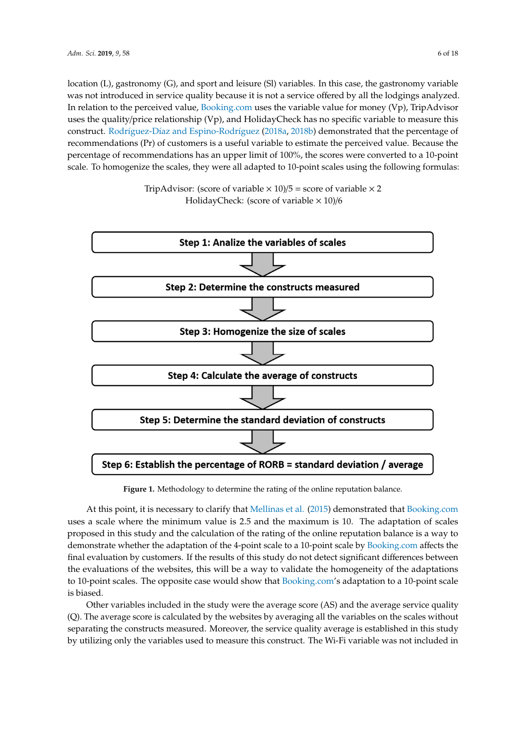location (L), gastronomy (G), and sport and leisure (Sl) variables. In this case, the gastronomy variable was not introduced in service quality because it is not a service offered by all the lodgings analyzed. In relation to the perceived value, <Booking.com> uses the variable value for money (Vp), TripAdvisor uses the quality/price relationship (Vp), and HolidayCheck has no specific variable to measure this construct. Rodríguez-Dí[az and Espino-Rodr](#page-16-8)íguez [\(2018a,](#page-16-8) [2018b\)](#page-16-9) demonstrated that the percentage of recommendations (Pr) of customers is a useful variable to estimate the perceived value. Because the recommendations (Pr) of customers is a useful variable to estimate the perceived value. Because the percentage of recommendations has an upper limit of 100%, the scores were converted to a 10-point percentage of recommendations has an upper limit of 100%, the scores were converted to a 10-point scale. To homogenize the scales, they were all adapted to 10-point scales using the following formulas: scale. To homogenize the scales, they were all adapted to 10-point scales using the following

TripAdvisor: (score of variable  $\times$  10)/5 = score of variable  $\times$  2 HolidayCheck: (score of variable × 10)/6 HolidayCheck: (score of variable × 10)/6

<span id="page-5-0"></span>

**Figure 1.** Methodology to determine the rating of the online reputation balance. **Figure 1.** Methodology to determine the rating of the online reputation balance.

At this point, it is necessary to clarify that [Mellinas et al.](#page-16-22) (2015) demonstrated that<Booking.com> At this point, it is necessary to clarify that Mellinas et al. [\(2015\)](#page-16-22) demonstrated that Booking.com uses a scale where the minimum value is 2.5 and the maximum is 10. The adaptation of scales uses a scale where the minimum value is 2.5 and the maximum is 10. The adaptation of scales proposed in this study and the calculation of the rating of the online reputation balance is a way to proposed in this study and the calculation of the rating of the online reputation balance is a way to demonstrate whether the adaptation of the 4-point scale to a 10-point scale by Booking.com affects demonstrate whether the adaptation of the 4-point scale to a 10-point scale by <Booking.com> affects the final evaluation by customers. If the results of this study do not detect significant differences between the evaluations of the websites, this will be a way to validate the homogeneity of the adaptations to 10-point scales. The opposite case would show that [Booking.com'](Booking.com)s adaptation to a 10-point scale is biased.

Other variables included in the study were the average score (AS) and the average service Other variables included in the study were the average score (AS) and the average service quality (Q). The average score is calculated by the websites by averaging all the variables on the scales without separating the constructs measured. Moreover, the service quality average is established in this study by utilizing only the variables used to measure this construct. The Wi-Fi variable was not included in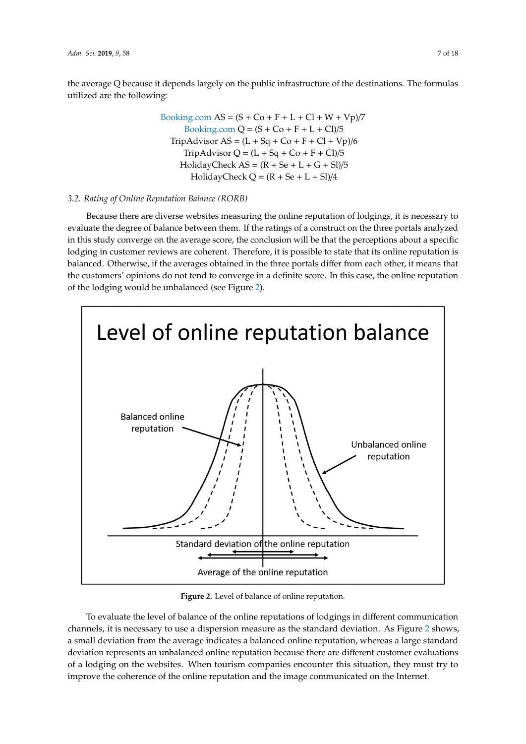the average Q because it depends largely on the public infrastructure of the destinations. The formulas  $\,$ utilized are the following:

<Booking.com>  $AS = (S + Co + F + L + Cl + W + Vp)/7$  $\frac{1}{2}$  <Booking.com>  $\Omega = (S + C_0 + F + L + CI)/5$ TripAdvisor  $AS = (L + Sq + Co + F + Cl + Vp)/6$ TripAdvisor  $\Gamma$  is  $=$  (L + Sq + Co + T + C+ +  $\Gamma$ )/5  $H\text{p}$  HolidayCheck AS =  $(R + Se + L + G + Sl)/5$ HolidayCheck  $\Omega = (R + Se + L + SI)/4$ From the website  $\zeta = (N + \zeta_0 + D + \zeta_0)_1$ 

# 3.2. Rating of Online Reputation Balance (RORB)

Because there are diverse websites measuring the online reputation of lodgings, it is necessary to evaluate the degree of balance between them. If the ratings of a construct on the three portals analyzed in this study converge on the average score, the conclusion will be that the perceptions about a specific lodging in customer reviews are coherent. Therefore, it is possible to state that its online reputation is balanced. Otherwise, if the averages obtained in the three portals differ from each other, it means that the customers' opinions do not tend to converge in a definite score. In this case, the online reputation of the lodging would be unbalanced (see Figure [2\)](#page-6-0).

<span id="page-6-0"></span>

**Figure 2.** Level of balance of online reputation. **Figure 2.** Level of balance of online reputation.

To evaluate the level of balance of the online reputations of lodgings in different communication channels, it is necessary to us[e a](#page-6-0) dispersion measure as the standard deviation. As Figure 2 shows, a small deviation from the average indicates a balanced online reputation, whereas a large standard deviation represents an unbalanced online reputation because there are different customer evaluations of a lodging on the websites. When tourism companies encounter this situation, they must try to improve the coherence of the online reputation and the image communicated on the Internet.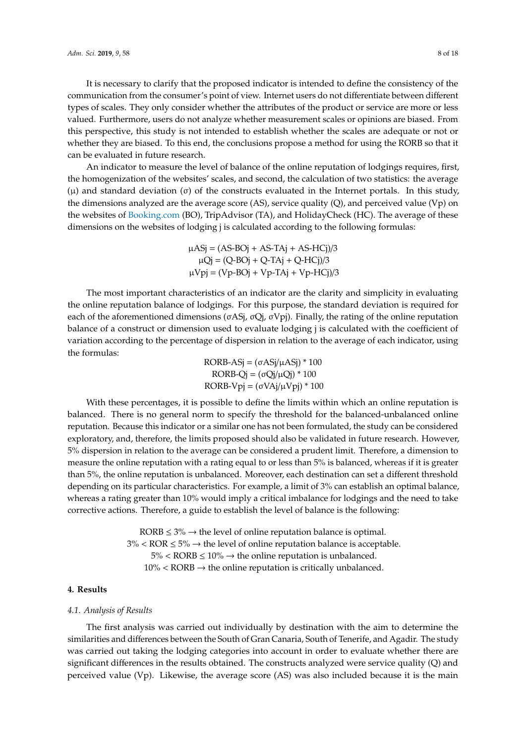It is necessary to clarify that the proposed indicator is intended to define the consistency of the communication from the consumer's point of view. Internet users do not differentiate between different types of scales. They only consider whether the attributes of the product or service are more or less valued. Furthermore, users do not analyze whether measurement scales or opinions are biased. From this perspective, this study is not intended to establish whether the scales are adequate or not or whether they are biased. To this end, the conclusions propose a method for using the RORB so that it can be evaluated in future research.

An indicator to measure the level of balance of the online reputation of lodgings requires, first, the homogenization of the websites' scales, and second, the calculation of two statistics: the average (µ) and standard deviation (σ) of the constructs evaluated in the Internet portals. In this study, the dimensions analyzed are the average score (AS), service quality (Q), and perceived value (Vp) on the websites of <Booking.com> (BO), TripAdvisor (TA), and HolidayCheck (HC). The average of these dimensions on the websites of lodging j is calculated according to the following formulas:

> $\mu$ ASj = (AS-BOj + AS-TAj + AS-HCj)/3  $\mu$ Qj = (Q-BOj + Q-TAj + Q-HCj)/3  $\mu V$ pj = (Vp-BOj + Vp-TAj + Vp-HCj)/3

The most important characteristics of an indicator are the clarity and simplicity in evaluating the online reputation balance of lodgings. For this purpose, the standard deviation is required for each of the aforementioned dimensions (σASj, σQj, σVpj). Finally, the rating of the online reputation balance of a construct or dimension used to evaluate lodging j is calculated with the coefficient of variation according to the percentage of dispersion in relation to the average of each indicator, using the formulas:

RORB-ASj = (σASj/µASj) \* 100 RORB-Qj =  $(\sigma Qj/\mu Qj) * 100$ RORB-Vpj =  $(\sigma VAj/\mu Vpj) * 100$ 

With these percentages, it is possible to define the limits within which an online reputation is balanced. There is no general norm to specify the threshold for the balanced-unbalanced online reputation. Because this indicator or a similar one has not been formulated, the study can be considered exploratory, and, therefore, the limits proposed should also be validated in future research. However, 5% dispersion in relation to the average can be considered a prudent limit. Therefore, a dimension to measure the online reputation with a rating equal to or less than 5% is balanced, whereas if it is greater than 5%, the online reputation is unbalanced. Moreover, each destination can set a different threshold depending on its particular characteristics. For example, a limit of 3% can establish an optimal balance, whereas a rating greater than 10% would imply a critical imbalance for lodgings and the need to take corrective actions. Therefore, a guide to establish the level of balance is the following:

> $RORB \leq 3\% \rightarrow$  the level of online reputation balance is optimal.  $3\%$  < ROR  $\leq$  5%  $\rightarrow$  the level of online reputation balance is acceptable.  $5\% <$  RORB  $\leq 10\%$   $\rightarrow$  the online reputation is unbalanced.  $10\% <$  RORB  $\rightarrow$  the online reputation is critically unbalanced.

#### **4. Results**

#### *4.1. Analysis of Results*

The first analysis was carried out individually by destination with the aim to determine the similarities and differences between the South of Gran Canaria, South of Tenerife, and Agadir. The study was carried out taking the lodging categories into account in order to evaluate whether there are significant differences in the results obtained. The constructs analyzed were service quality (Q) and perceived value (Vp). Likewise, the average score (AS) was also included because it is the main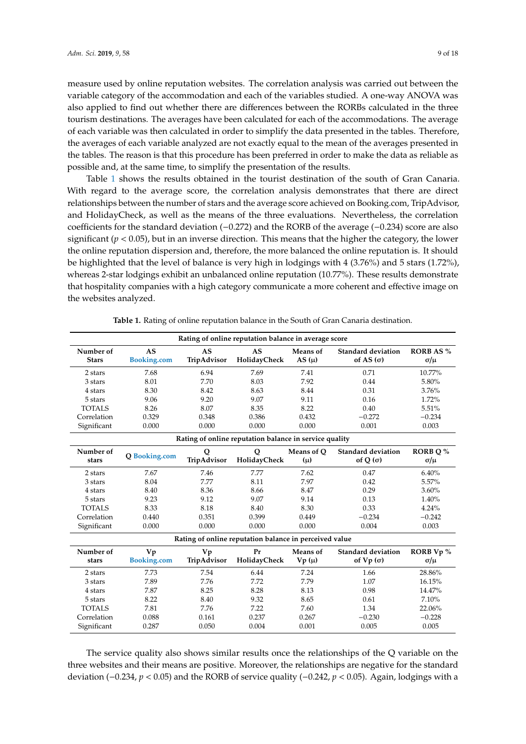measure used by online reputation websites. The correlation analysis was carried out between the variable category of the accommodation and each of the variables studied. A one-way ANOVA was also applied to find out whether there are differences between the RORBs calculated in the three tourism destinations. The averages have been calculated for each of the accommodations. The average of each variable was then calculated in order to simplify the data presented in the tables. Therefore, the averages of each variable analyzed are not exactly equal to the mean of the averages presented in the tables. The reason is that this procedure has been preferred in order to make the data as reliable as possible and, at the same time, to simplify the presentation of the results.

Table [1](#page-8-0) shows the results obtained in the tourist destination of the south of Gran Canaria. With regard to the average score, the correlation analysis demonstrates that there are direct relationships between the number of stars and the average score achieved on Booking.com, TripAdvisor, and HolidayCheck, as well as the means of the three evaluations. Nevertheless, the correlation coefficients for the standard deviation (−0.272) and the RORB of the average (−0.234) score are also significant ( $p < 0.05$ ), but in an inverse direction. This means that the higher the category, the lower the online reputation dispersion and, therefore, the more balanced the online reputation is. It should be highlighted that the level of balance is very high in lodgings with 4 (3.76%) and 5 stars (1.72%), whereas 2-star lodgings exhibit an unbalanced online reputation (10.77%). These results demonstrate that hospitality companies with a high category communicate a more coherent and effective image on the websites analyzed.

<span id="page-8-0"></span>

| Rating of online reputation balance in average score   |                          |                              |                    |                        |                                          |                 |  |  |
|--------------------------------------------------------|--------------------------|------------------------------|--------------------|------------------------|------------------------------------------|-----------------|--|--|
| Number of<br><b>Stars</b>                              | AS<br><b>Booking.com</b> | AS<br>TripAdvisor            | AS<br>HolidayCheck | Means of<br>AS $(\mu)$ | <b>Standard deviation</b><br>of AS $(σ)$ |                 |  |  |
| 2 stars                                                | 7.68                     | 6.94                         | 7.69               | 7.41                   | 0.71                                     | 10.77%          |  |  |
| 3 stars                                                | 8.01                     | 7.70                         | 8.03               | 7.92                   | 0.44                                     | 5.80%           |  |  |
| 4 stars                                                | 8.30                     | 8.42                         | 8.63               | 8.44                   | 0.31                                     | 3.76%           |  |  |
| 5 stars                                                | 9.06                     | 9.20                         | 9.07               | 9.11                   | 0.16                                     | 1.72%           |  |  |
| <b>TOTALS</b>                                          | 8.26                     | 8.07                         | 8.35               | 8.22                   | 0.40                                     | 5.51%           |  |  |
| Correlation                                            | 0.329                    | 0.348                        | 0.386              | 0.432                  | $-0.272$                                 | $-0.234$        |  |  |
| Significant                                            | 0.000                    | 0.000                        | 0.000              | 0.000                  | 0.001                                    | 0.003           |  |  |
| Rating of online reputation balance in service quality |                          |                              |                    |                        |                                          |                 |  |  |
| Number of                                              |                          | Q                            | Q                  | Means of Q             | <b>Standard deviation</b>                | <b>RORB Q %</b> |  |  |
| stars                                                  | Q Booking.com            | TripAdvisor                  | HolidayCheck       | $(\mu)$                | of $Q(\sigma)$                           | $\sigma/\mu$    |  |  |
| 2 stars                                                | 7.67                     | 7.46                         | 7.77               | 7.62                   | 0.47                                     | 6.40%           |  |  |
| 3 stars                                                | 8.04                     | 7.77                         | 8.11               | 7.97                   | 0.42                                     | 5.57%           |  |  |
| 4 stars                                                | 8.40                     | 8.36                         | 8.66               | 8.47                   | 0.29                                     |                 |  |  |
| 5 stars                                                | 9.23                     | 9.12                         | 9.07               | 9.14                   | 0.13                                     | 1.40%           |  |  |
| <b>TOTALS</b>                                          | 8.33                     | 8.18                         | 8.40               | 8.30                   | 0.33                                     | 4.24%           |  |  |
| Correlation                                            | 0.440                    | 0.351                        | 0.399              | 0.449                  | $-0.234$                                 | $-0.242$        |  |  |
| Significant                                            | 0.000                    | 0.000                        | 0.000              | 0.000                  | 0.004                                    | 0.003           |  |  |
| Rating of online reputation balance in perceived value |                          |                              |                    |                        |                                          |                 |  |  |
| Number of                                              | Vp                       | Vp                           | Pr                 | Means of               | <b>Standard deviation</b>                | RORB Vp %       |  |  |
| stars                                                  | <b>Booking.com</b>       | TripAdvisor                  | HolidayCheck       | $Vp(\mu)$              | of $Vp(\sigma)$                          | σ/μ             |  |  |
| 2 stars                                                | 7.73                     | 7.54                         | 6.44               | 7.24                   | 1.66                                     | 28.86%          |  |  |
| 3 stars                                                | 7.89                     | 7.76                         | 7.72               | 7.79                   | 1.07                                     | 16.15%          |  |  |
| 4 stars                                                | 7.87                     | 8.25                         | 8.28               | 8.13                   | 0.98                                     | 14.47%          |  |  |
| 5 stars                                                | 8.22                     | 8.40<br>9.32<br>8.65<br>0.61 |                    | 7.10%                  |                                          |                 |  |  |
| <b>TOTALS</b>                                          | 7.81                     | 7.76                         | 7.22               | 7.60                   | 1.34                                     | 22.06%          |  |  |
| Correlation                                            | 0.088                    | 0.161                        | 0.237              | 0.267                  | $-0.230$                                 | $-0.228$        |  |  |
| Significant                                            | 0.287                    | 0.050                        | 0.004              | 0.001                  | 0.005                                    | 0.005           |  |  |

**Table 1.** Rating of online reputation balance in the South of Gran Canaria destination.

The service quality also shows similar results once the relationships of the Q variable on the three websites and their means are positive. Moreover, the relationships are negative for the standard deviation (−0.234, *p* < 0.05) and the RORB of service quality (−0.242, *p* < 0.05). Again, lodgings with a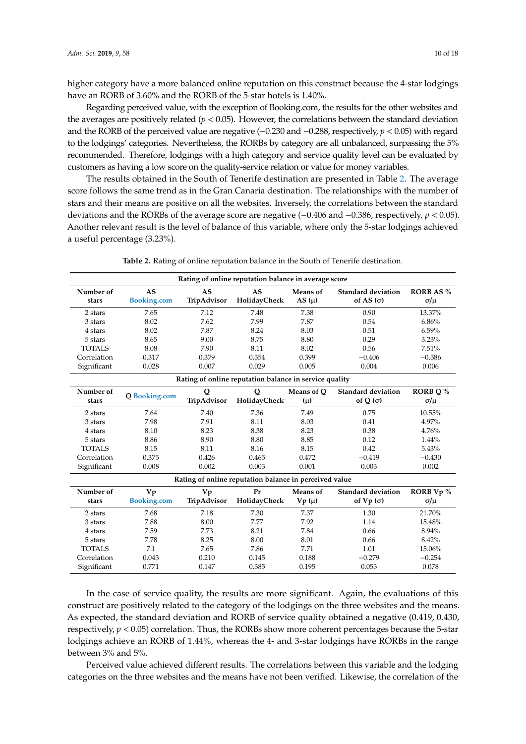higher category have a more balanced online reputation on this construct because the 4-star lodgings have an RORB of 3.60% and the RORB of the 5-star hotels is 1.40%.

Regarding perceived value, with the exception of Booking.com, the results for the other websites and the averages are positively related  $(p < 0.05)$ . However, the correlations between the standard deviation and the RORB of the perceived value are negative (−0.230 and −0.288, respectively, *p* < 0.05) with regard to the lodgings' categories. Nevertheless, the RORBs by category are all unbalanced, surpassing the 5% recommended. Therefore, lodgings with a high category and service quality level can be evaluated by customers as having a low score on the quality-service relation or value for money variables.

The results obtained in the South of Tenerife destination are presented in Table [2.](#page-9-0) The average score follows the same trend as in the Gran Canaria destination. The relationships with the number of stars and their means are positive on all the websites. Inversely, the correlations between the standard deviations and the RORBs of the average score are negative (−0.406 and −0.386, respectively, *p* < 0.05). Another relevant result is the level of balance of this variable, where only the 5-star lodgings achieved a useful percentage (3.23%).

<span id="page-9-0"></span>

| Rating of online reputation balance in average score   |                          |                              |                    |                        |                                   |                  |  |  |
|--------------------------------------------------------|--------------------------|------------------------------|--------------------|------------------------|-----------------------------------|------------------|--|--|
| Number of<br>stars                                     | AS<br><b>Booking.com</b> | AS<br>TripAdvisor            | AS<br>HolidayCheck | Means of<br>AS $(\mu)$ | Standard deviation<br>of AS $(σ)$ | RORB AS %<br>σ/μ |  |  |
| 2 stars                                                | 7.65                     | 7.12                         | 7.48               | 7.38                   | 0.90                              | 13.37%           |  |  |
| 3 stars                                                | 8.02                     | 7.62                         | 7.99               | 7.87                   | 0.54                              | 6.86%            |  |  |
| 4 stars                                                | 8.02                     | 7.87                         | 8.24               | 8.03                   | 0.51                              | 6.59%            |  |  |
| 5 stars                                                | 8.65                     | 9.00                         | 8.75               | 8.80                   | 0.29                              | 3.23%            |  |  |
| <b>TOTALS</b>                                          | 8.08                     | 7.90                         | 8.11               | 8.02                   | 0.56                              | 7.51%            |  |  |
| Correlation                                            | 0.317                    | 0.379                        | 0.354              | 0.399                  | $-0.406$                          | $-0.386$         |  |  |
| Significant                                            | 0.028                    | 0.007                        | 0.029              | 0.005                  | 0.004                             | 0.006            |  |  |
| Rating of online reputation balance in service quality |                          |                              |                    |                        |                                   |                  |  |  |
| Number of                                              |                          | O                            | Q                  | Means of O             | <b>Standard deviation</b>         | RORB O %         |  |  |
| stars                                                  | Q Booking.com            | TripAdvisor                  | HolidayCheck       | $(\mu)$                | of $Q(\sigma)$                    | $\sigma/\mu$     |  |  |
| 2 stars                                                | 7.64                     | 7.40                         | 7.36               | 7.49                   | 0.75                              | 10.55%           |  |  |
| 3 stars                                                | 7.98                     | 7.91                         | 8.11               | 8.03                   | 0.41                              | 4.97%            |  |  |
| 4 stars                                                | 8.10                     | 8.23                         | 8.38               | 8.23                   | 0.38                              | 4.76%            |  |  |
| 5 stars                                                | 8.86                     | 8.90                         | 8.80               | 8.85                   | 0.12                              | 1.44%            |  |  |
| <b>TOTALS</b>                                          | 8.15                     | 8.11                         | 8.16               | 8.15                   | 0.42                              | 5.43%            |  |  |
| Correlation                                            | 0.375                    | 0.426                        | 0.465<br>0.472     |                        | $-0.419$                          | $-0.430$         |  |  |
| Significant                                            | 0.008                    | 0.002                        | 0.003              | 0.001                  | 0.003                             | 0.002            |  |  |
| Rating of online reputation balance in perceived value |                          |                              |                    |                        |                                   |                  |  |  |
| Number of                                              | Vp                       | Vp                           | Pr                 | Means of               | <b>Standard deviation</b>         | RORB Vp %        |  |  |
| stars                                                  | <b>Booking.com</b>       | TripAdvisor                  | HolidayCheck       | $Vp(\mu)$              | of $Vp(\sigma)$                   | σ/μ              |  |  |
| 2 stars                                                | 7.68                     | 7.18                         | 7.30               | 7.37                   | 1.30                              | 21.70%           |  |  |
| 3 stars                                                | 7.88                     | 8.00                         | 7.77               | 7.92                   | 1.14                              | 15.48%           |  |  |
| 4 stars                                                | 7.59                     | 7.73                         | 8.21               | 7.84                   | 0.66                              | 8.94%            |  |  |
| 5 stars                                                | 7.78                     | 8.25                         | 8.00               | 8.01                   | 0.66                              | 8.42%            |  |  |
| <b>TOTALS</b>                                          | 7.1                      | 7.65<br>7.86<br>7.71<br>1.01 |                    |                        | 15.06%                            |                  |  |  |
| Correlation                                            | 0.043                    | 0.210                        | 0.145              | 0.188                  | $-0.279$                          | $-0.254$         |  |  |
| Significant                                            | 0.771                    | 0.147                        | 0.385              | 0.195<br>0.053         |                                   | 0.078            |  |  |

**Table 2.** Rating of online reputation balance in the South of Tenerife destination.

In the case of service quality, the results are more significant. Again, the evaluations of this construct are positively related to the category of the lodgings on the three websites and the means. As expected, the standard deviation and RORB of service quality obtained a negative (0.419, 0.430, respectively, *p* < 0.05) correlation. Thus, the RORBs show more coherent percentages because the 5-star lodgings achieve an RORB of 1.44%, whereas the 4- and 3-star lodgings have RORBs in the range between 3% and 5%.

Perceived value achieved different results. The correlations between this variable and the lodging categories on the three websites and the means have not been verified. Likewise, the correlation of the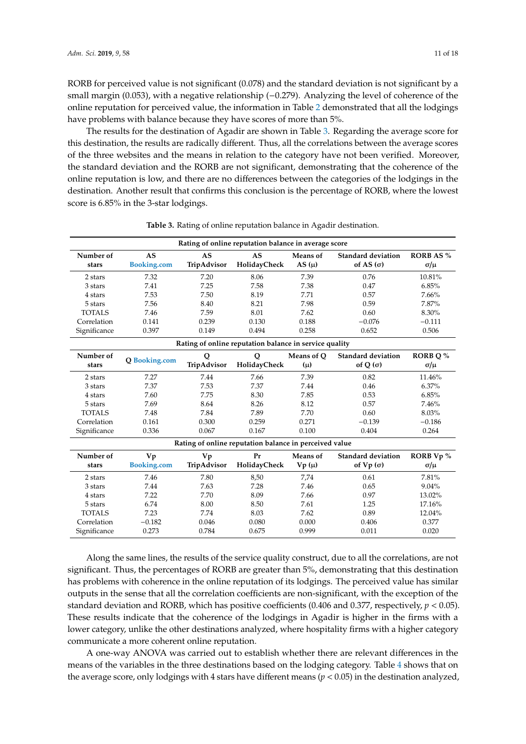RORB for perceived value is not significant (0.078) and the standard deviation is not significant by a small margin (0.053), with a negative relationship (−0.279). Analyzing the level of coherence of the online reputation for perceived value, the information in Table [2](#page-9-0) demonstrated that all the lodgings have problems with balance because they have scores of more than 5%.

The results for the destination of Agadir are shown in Table [3.](#page-10-0) Regarding the average score for this destination, the results are radically different. Thus, all the correlations between the average scores of the three websites and the means in relation to the category have not been verified. Moreover, the standard deviation and the RORB are not significant, demonstrating that the coherence of the online reputation is low, and there are no differences between the categories of the lodgings in the destination. Another result that confirms this conclusion is the percentage of RORB, where the lowest score is 6.85% in the 3-star lodgings.

<span id="page-10-0"></span>

| Rating of online reputation balance in average score |                                                        |                                  |                    |                        |                                   |                 |  |  |  |
|------------------------------------------------------|--------------------------------------------------------|----------------------------------|--------------------|------------------------|-----------------------------------|-----------------|--|--|--|
| Number of<br>stars                                   | AS<br><b>Booking.com</b>                               | AS<br>TripAdvisor                | AS<br>HolidayCheck | Means of<br>AS $(\mu)$ | Standard deviation<br>of AS $(σ)$ |                 |  |  |  |
| 2 stars                                              | 7.32                                                   | 7.20                             | 7.39<br>8.06       |                        | 0.76                              | 10.81%          |  |  |  |
| 3 stars                                              | 7.41                                                   | 7.25                             | 7.58               | 7.38                   | 0.47                              | 6.85%           |  |  |  |
| 4 stars                                              | 7.53                                                   | 7.50                             | 8.19               | 7.71                   | 0.57                              | 7.66%           |  |  |  |
| 5 stars                                              | 7.56                                                   | 8.40                             | 8.21               | 7.98                   | 0.59                              | 7.87%           |  |  |  |
| <b>TOTALS</b>                                        | 7.46                                                   | 7.59                             | 8.01               | 7.62                   | 0.60                              | 8.30%           |  |  |  |
| Correlation                                          | 0.141                                                  | 0.239                            | 0.130              | 0.188                  | $-0.076$                          | $-0.111$        |  |  |  |
| Significance                                         | 0.397                                                  | 0.149                            | 0.494              | 0.258                  | 0.652                             | 0.506           |  |  |  |
|                                                      | Rating of online reputation balance in service quality |                                  |                    |                        |                                   |                 |  |  |  |
| Number of                                            | Q Booking.com                                          | Q                                | Q                  | Means of Q             | <b>Standard deviation</b>         | <b>RORB Q %</b> |  |  |  |
| stars                                                |                                                        | TripAdvisor                      | HolidayCheck       | $(\mu)$                | of $Q(\sigma)$                    | σ/μ             |  |  |  |
| 2 stars                                              | 7.27                                                   | 7.44                             | 7.66               | 7.39                   | 0.82                              | 11.46%          |  |  |  |
| 3 stars                                              | 7.37                                                   | 7.53                             | 7.37               | 7.44                   | 0.46                              | 6.37%           |  |  |  |
| 4 stars                                              | 7.60                                                   | 7.75                             | 8.30               | 7.85                   | 0.53                              | 6.85%           |  |  |  |
| 5 stars                                              | 7.69                                                   | 8.64                             | 8.26               | 8.12                   | 0.57                              | 7.46%           |  |  |  |
| <b>TOTALS</b>                                        | 7.48                                                   | 7.84                             | 7.89               | 7.70                   | 0.60                              | 8.03%           |  |  |  |
| Correlation                                          | 0.161                                                  | 0.300                            | 0.259              | 0.271                  | $-0.139$                          | $-0.186$        |  |  |  |
| Significance                                         | 0.336                                                  | 0.067                            | 0.167              | 0.100                  | 0.404                             | 0.264           |  |  |  |
|                                                      | Rating of online reputation balance in perceived value |                                  |                    |                        |                                   |                 |  |  |  |
| Number of                                            | Vp                                                     | Vp                               | Pr                 | Means of               | <b>Standard deviation</b>         | RORB Vp %       |  |  |  |
| stars                                                | <b>Booking.com</b>                                     | TripAdvisor                      | HolidayCheck       | $Vp(\mu)$              | of $Vp(\sigma)$                   | σ/μ             |  |  |  |
| 2 stars                                              | 7.46                                                   | 7.80                             | 8,50               | 7,74                   | 0.61                              | 7.81%           |  |  |  |
| 3 stars                                              | 7.44                                                   | 7.63                             | 7.28               | 7.46                   | 0.65                              | 9.04%           |  |  |  |
| 4 stars                                              | 7.22                                                   | 7.70                             |                    | 7.66                   | 0.97                              | 13.02%          |  |  |  |
| 5 stars                                              | 6.74                                                   | 8.09<br>7.61<br>8.00<br>8.50     |                    |                        | 1.25                              | 17.16%          |  |  |  |
| <b>TOTALS</b>                                        | 7.23                                                   | 7.74                             | 8.03               | 7.62                   | 0.89                              | 12.04%          |  |  |  |
| Correlation                                          | $-0.182$                                               | 0.000<br>0.406<br>0.046<br>0.080 |                    |                        | 0.377                             |                 |  |  |  |
| Significance                                         | 0.273                                                  | 0.784                            | 0.675              | 0.999                  | 0.011                             | 0.020           |  |  |  |

**Table 3.** Rating of online reputation balance in Agadir destination.

Along the same lines, the results of the service quality construct, due to all the correlations, are not significant. Thus, the percentages of RORB are greater than 5%, demonstrating that this destination has problems with coherence in the online reputation of its lodgings. The perceived value has similar outputs in the sense that all the correlation coefficients are non-significant, with the exception of the standard deviation and RORB, which has positive coefficients (0.406 and 0.377, respectively, *p* < 0.05). These results indicate that the coherence of the lodgings in Agadir is higher in the firms with a lower category, unlike the other destinations analyzed, where hospitality firms with a higher category communicate a more coherent online reputation.

A one-way ANOVA was carried out to establish whether there are relevant differences in the means of the variables in the three destinations based on the lodging category. Table [4](#page-11-0) shows that on the average score, only lodgings with 4 stars have different means (*p* < 0.05) in the destination analyzed,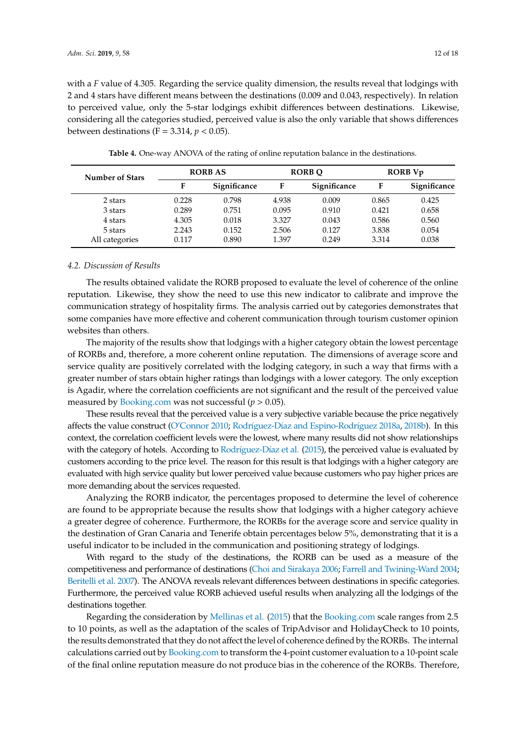with a *F* value of 4.305. Regarding the service quality dimension, the results reveal that lodgings with 2 and 4 stars have different means between the destinations (0.009 and 0.043, respectively). In relation to perceived value, only the 5-star lodgings exhibit differences between destinations. Likewise, considering all the categories studied, perceived value is also the only variable that shows differences between destinations (F =  $3.314$ ,  $p < 0.05$ ).

<span id="page-11-0"></span>

| <b>Number of Stars</b> | <b>RORB AS</b> |              | <b>RORB O</b> |              | <b>RORB</b> Vp |              |
|------------------------|----------------|--------------|---------------|--------------|----------------|--------------|
|                        | F              | Significance | F             | Significance | F              | Significance |
| 2 stars                | 0.228          | 0.798        | 4.938         | 0.009        | 0.865          | 0.425        |
| 3 stars                | 0.289          | 0.751        | 0.095         | 0.910        | 0.421          | 0.658        |
| 4 stars                | 4.305          | 0.018        | 3.327         | 0.043        | 0.586          | 0.560        |
| 5 stars                | 2.243          | 0.152        | 2.506         | 0.127        | 3.838          | 0.054        |
| All categories         | 0.117          | 0.890        | 1.397         | 0.249        | 3.314          | 0.038        |

**Table 4.** One-way ANOVA of the rating of online reputation balance in the destinations.

### *4.2. Discussion of Results*

The results obtained validate the RORB proposed to evaluate the level of coherence of the online reputation. Likewise, they show the need to use this new indicator to calibrate and improve the communication strategy of hospitality firms. The analysis carried out by categories demonstrates that some companies have more effective and coherent communication through tourism customer opinion websites than others.

The majority of the results show that lodgings with a higher category obtain the lowest percentage of RORBs and, therefore, a more coherent online reputation. The dimensions of average score and service quality are positively correlated with the lodging category, in such a way that firms with a greater number of stars obtain higher ratings than lodgings with a lower category. The only exception is Agadir, where the correlation coefficients are not significant and the result of the perceived value measured by <Booking.com> was not successful ( $p > 0.05$ ).

These results reveal that the perceived value is a very subjective variable because the price negatively affects the value construct [\(O'Connor](#page-16-4) [2010;](#page-16-4) Rodríguez-Dí[az and Espino-Rodr](#page-16-8)íguez [2018a,](#page-16-8) [2018b\)](#page-16-9). In this context, the correlation coefficient levels were the lowest, where many results did not show relationships with the category of hotels. According to Rodríguez-Dí[az et al.](#page-16-0) [\(2015\)](#page-16-0), the perceived value is evaluated by customers according to the price level. The reason for this result is that lodgings with a higher category are evaluated with high service quality but lower perceived value because customers who pay higher prices are more demanding about the services requested.

Analyzing the RORB indicator, the percentages proposed to determine the level of coherence are found to be appropriate because the results show that lodgings with a higher category achieve a greater degree of coherence. Furthermore, the RORBs for the average score and service quality in the destination of Gran Canaria and Tenerife obtain percentages below 5%, demonstrating that it is a useful indicator to be included in the communication and positioning strategy of lodgings.

With regard to the study of the destinations, the RORB can be used as a measure of the competitiveness and performance of destinations [\(Choi and Sirakaya](#page-14-19) [2006;](#page-14-19) [Farrell and Twining-Ward](#page-14-20) [2004;](#page-14-20) [Beritelli et al.](#page-14-21) [2007\)](#page-14-21). The ANOVA reveals relevant differences between destinations in specific categories. Furthermore, the perceived value RORB achieved useful results when analyzing all the lodgings of the destinations together.

Regarding the consideration by [Mellinas et al.](#page-16-22) [\(2015\)](#page-16-22) that the <Booking.com> scale ranges from 2.5 to 10 points, as well as the adaptation of the scales of TripAdvisor and HolidayCheck to 10 points, the results demonstrated that they do not affect the level of coherence defined by the RORBs. The internal calculations carried out by <Booking.com> to transform the 4-point customer evaluation to a 10-point scale of the final online reputation measure do not produce bias in the coherence of the RORBs. Therefore,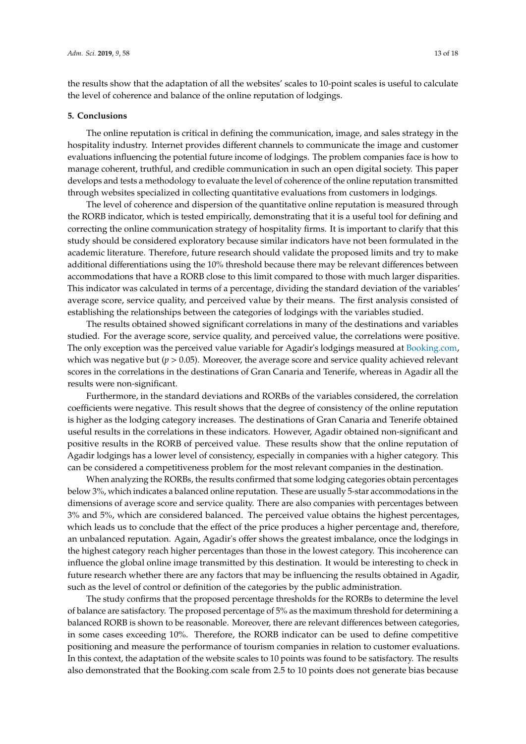the results show that the adaptation of all the websites' scales to 10-point scales is useful to calculate the level of coherence and balance of the online reputation of lodgings.

#### **5. Conclusions**

The online reputation is critical in defining the communication, image, and sales strategy in the hospitality industry. Internet provides different channels to communicate the image and customer evaluations influencing the potential future income of lodgings. The problem companies face is how to manage coherent, truthful, and credible communication in such an open digital society. This paper develops and tests a methodology to evaluate the level of coherence of the online reputation transmitted through websites specialized in collecting quantitative evaluations from customers in lodgings.

The level of coherence and dispersion of the quantitative online reputation is measured through the RORB indicator, which is tested empirically, demonstrating that it is a useful tool for defining and correcting the online communication strategy of hospitality firms. It is important to clarify that this study should be considered exploratory because similar indicators have not been formulated in the academic literature. Therefore, future research should validate the proposed limits and try to make additional differentiations using the 10% threshold because there may be relevant differences between accommodations that have a RORB close to this limit compared to those with much larger disparities. This indicator was calculated in terms of a percentage, dividing the standard deviation of the variables' average score, service quality, and perceived value by their means. The first analysis consisted of establishing the relationships between the categories of lodgings with the variables studied.

The results obtained showed significant correlations in many of the destinations and variables studied. For the average score, service quality, and perceived value, the correlations were positive. The only exception was the perceived value variable for Agadir's lodgings measured at [Booking.com,](Booking.com) which was negative but  $(p > 0.05)$ . Moreover, the average score and service quality achieved relevant scores in the correlations in the destinations of Gran Canaria and Tenerife, whereas in Agadir all the results were non-significant.

Furthermore, in the standard deviations and RORBs of the variables considered, the correlation coefficients were negative. This result shows that the degree of consistency of the online reputation is higher as the lodging category increases. The destinations of Gran Canaria and Tenerife obtained useful results in the correlations in these indicators. However, Agadir obtained non-significant and positive results in the RORB of perceived value. These results show that the online reputation of Agadir lodgings has a lower level of consistency, especially in companies with a higher category. This can be considered a competitiveness problem for the most relevant companies in the destination.

When analyzing the RORBs, the results confirmed that some lodging categories obtain percentages below 3%, which indicates a balanced online reputation. These are usually 5-star accommodations in the dimensions of average score and service quality. There are also companies with percentages between 3% and 5%, which are considered balanced. The perceived value obtains the highest percentages, which leads us to conclude that the effect of the price produces a higher percentage and, therefore, an unbalanced reputation. Again, Agadir's offer shows the greatest imbalance, once the lodgings in the highest category reach higher percentages than those in the lowest category. This incoherence can influence the global online image transmitted by this destination. It would be interesting to check in future research whether there are any factors that may be influencing the results obtained in Agadir, such as the level of control or definition of the categories by the public administration.

The study confirms that the proposed percentage thresholds for the RORBs to determine the level of balance are satisfactory. The proposed percentage of 5% as the maximum threshold for determining a balanced RORB is shown to be reasonable. Moreover, there are relevant differences between categories, in some cases exceeding 10%. Therefore, the RORB indicator can be used to define competitive positioning and measure the performance of tourism companies in relation to customer evaluations. In this context, the adaptation of the website scales to 10 points was found to be satisfactory. The results also demonstrated that the Booking.com scale from 2.5 to 10 points does not generate bias because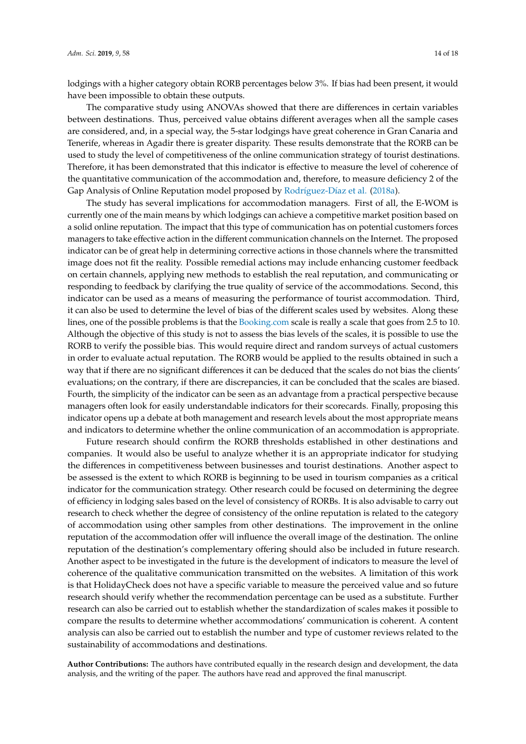lodgings with a higher category obtain RORB percentages below 3%. If bias had been present, it would have been impossible to obtain these outputs.

The comparative study using ANOVAs showed that there are differences in certain variables between destinations. Thus, perceived value obtains different averages when all the sample cases are considered, and, in a special way, the 5-star lodgings have great coherence in Gran Canaria and Tenerife, whereas in Agadir there is greater disparity. These results demonstrate that the RORB can be used to study the level of competitiveness of the online communication strategy of tourist destinations. Therefore, it has been demonstrated that this indicator is effective to measure the level of coherence of the quantitative communication of the accommodation and, therefore, to measure deficiency 2 of the Gap Analysis of Online Reputation model proposed by Rodríguez-Dí[az et al.](#page-16-10) [\(2018a\)](#page-16-10).

The study has several implications for accommodation managers. First of all, the E-WOM is currently one of the main means by which lodgings can achieve a competitive market position based on a solid online reputation. The impact that this type of communication has on potential customers forces managers to take effective action in the different communication channels on the Internet. The proposed indicator can be of great help in determining corrective actions in those channels where the transmitted image does not fit the reality. Possible remedial actions may include enhancing customer feedback on certain channels, applying new methods to establish the real reputation, and communicating or responding to feedback by clarifying the true quality of service of the accommodations. Second, this indicator can be used as a means of measuring the performance of tourist accommodation. Third, it can also be used to determine the level of bias of the different scales used by websites. Along these lines, one of the possible problems is that the <Booking.com> scale is really a scale that goes from 2.5 to 10. Although the objective of this study is not to assess the bias levels of the scales, it is possible to use the RORB to verify the possible bias. This would require direct and random surveys of actual customers in order to evaluate actual reputation. The RORB would be applied to the results obtained in such a way that if there are no significant differences it can be deduced that the scales do not bias the clients' evaluations; on the contrary, if there are discrepancies, it can be concluded that the scales are biased. Fourth, the simplicity of the indicator can be seen as an advantage from a practical perspective because managers often look for easily understandable indicators for their scorecards. Finally, proposing this indicator opens up a debate at both management and research levels about the most appropriate means and indicators to determine whether the online communication of an accommodation is appropriate.

Future research should confirm the RORB thresholds established in other destinations and companies. It would also be useful to analyze whether it is an appropriate indicator for studying the differences in competitiveness between businesses and tourist destinations. Another aspect to be assessed is the extent to which RORB is beginning to be used in tourism companies as a critical indicator for the communication strategy. Other research could be focused on determining the degree of efficiency in lodging sales based on the level of consistency of RORBs. It is also advisable to carry out research to check whether the degree of consistency of the online reputation is related to the category of accommodation using other samples from other destinations. The improvement in the online reputation of the accommodation offer will influence the overall image of the destination. The online reputation of the destination's complementary offering should also be included in future research. Another aspect to be investigated in the future is the development of indicators to measure the level of coherence of the qualitative communication transmitted on the websites. A limitation of this work is that HolidayCheck does not have a specific variable to measure the perceived value and so future research should verify whether the recommendation percentage can be used as a substitute. Further research can also be carried out to establish whether the standardization of scales makes it possible to compare the results to determine whether accommodations' communication is coherent. A content analysis can also be carried out to establish the number and type of customer reviews related to the sustainability of accommodations and destinations.

**Author Contributions:** The authors have contributed equally in the research design and development, the data analysis, and the writing of the paper. The authors have read and approved the final manuscript.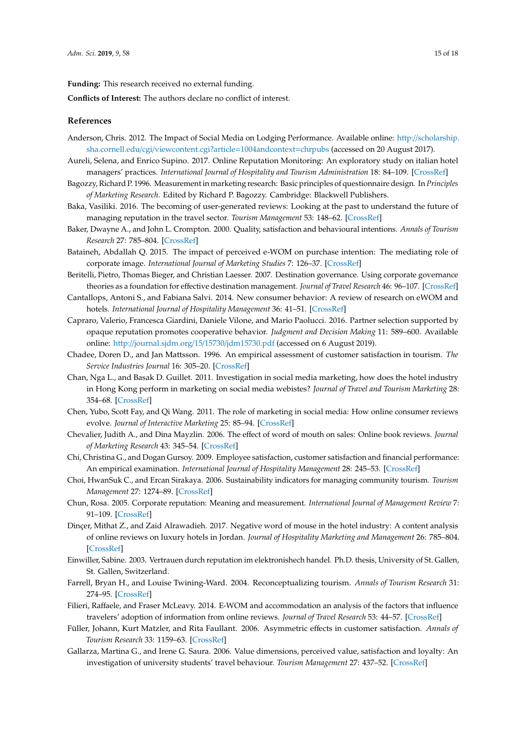**Funding:** This research received no external funding.

**Conflicts of Interest:** The authors declare no conflict of interest.

# **References**

- <span id="page-14-8"></span>Anderson, Chris. 2012. The Impact of Social Media on Lodging Performance. Available online: http://[scholarship.](http://scholarship.sha.cornell.edu/cgi/viewcontent.cgi?article=1004andcontext=chrpubs) sha.cornell.edu/cgi/[viewcontent.cgi?article](http://scholarship.sha.cornell.edu/cgi/viewcontent.cgi?article=1004andcontext=chrpubs)=1004andcontext=chrpubs (accessed on 20 August 2017).
- <span id="page-14-6"></span>Aureli, Selena, and Enrico Supino. 2017. Online Reputation Monitoring: An exploratory study on italian hotel managers' practices. *International Journal of Hospitality and Tourism Administration* 18: 84–109. [\[CrossRef\]](http://dx.doi.org/10.1080/15256480.2016.1264903)
- <span id="page-14-14"></span>Bagozzy, Richard P. 1996. Measurement in marketing research: Basic principles of questionnaire design. In *Principles of Marketing Research*. Edited by Richard P. Bagozzy. Cambridge: Blackwell Publishers.
- <span id="page-14-0"></span>Baka, Vasiliki. 2016. The becoming of user-generated reviews: Looking at the past to understand the future of managing reputation in the travel sector. *Tourism Management* 53: 148–62. [\[CrossRef\]](http://dx.doi.org/10.1016/j.tourman.2015.09.004)
- <span id="page-14-16"></span>Baker, Dwayne A., and John L. Crompton. 2000. Quality, satisfaction and behavioural intentions. *Annals of Tourism Research* 27: 785–804. [\[CrossRef\]](http://dx.doi.org/10.1016/S0160-7383(99)00108-5)
- <span id="page-14-10"></span>Bataineh, Abdallah Q. 2015. The impact of perceived e-WOM on purchase intention: The mediating role of corporate image. *International Journal of Marketing Studies* 7: 126–37. [\[CrossRef\]](http://dx.doi.org/10.5539/ijms.v7n1p126)
- <span id="page-14-21"></span>Beritelli, Pietro, Thomas Bieger, and Christian Laesser. 2007. Destination governance. Using corporate governance theories as a foundation for effective destination management. *Journal of Travel Research* 46: 96–107. [\[CrossRef\]](http://dx.doi.org/10.1177/0047287507302385)
- <span id="page-14-2"></span>Cantallops, Antoni S., and Fabiana Salvi. 2014. New consumer behavior: A review of research on eWOM and hotels. *International Journal of Hospitality Management* 36: 41–51. [\[CrossRef\]](http://dx.doi.org/10.1016/j.ijhm.2013.08.007)
- <span id="page-14-7"></span>Capraro, Valerio, Francesca Giardini, Daniele Vilone, and Mario Paolucci. 2016. Partner selection supported by opaque reputation promotes cooperative behavior. *Judgment and Decision Making* 11: 589–600. Available online: http://[journal.sjdm.org](http://journal.sjdm.org/15/15730/jdm15730.pdf)/15/15730/jdm15730.pdf (accessed on 6 August 2019).
- <span id="page-14-15"></span>Chadee, Doren D., and Jan Mattsson. 1996. An empirical assessment of customer satisfaction in tourism. *The Service Industries Journal* 16: 305–20. [\[CrossRef\]](http://dx.doi.org/10.1080/02642069600000030)
- <span id="page-14-1"></span>Chan, Nga L., and Basak D. Guillet. 2011. Investigation in social media marketing, how does the hotel industry in Hong Kong perform in marketing on social media webistes? *Journal of Travel and Tourism Marketing* 28: 354–68. [\[CrossRef\]](http://dx.doi.org/10.1080/10548408.2011.571571)
- <span id="page-14-4"></span>Chen, Yubo, Scott Fay, and Qi Wang. 2011. The role of marketing in social media: How online consumer reviews evolve. *Journal of Interactive Marketing* 25: 85–94. [\[CrossRef\]](http://dx.doi.org/10.1016/j.intmar.2011.01.003)
- <span id="page-14-5"></span>Chevalier, Judith A., and Dina Mayzlin. 2006. The effect of word of mouth on sales: Online book reviews. *Journal of Marketing Research* 43: 345–54. [\[CrossRef\]](http://dx.doi.org/10.1509/jmkr.43.3.345)
- <span id="page-14-9"></span>Chi, Christina G., and Dogan Gursoy. 2009. Employee satisfaction, customer satisfaction and financial performance: An empirical examination. *International Journal of Hospitality Management* 28: 245–53. [\[CrossRef\]](http://dx.doi.org/10.1016/j.ijhm.2008.08.003)
- <span id="page-14-19"></span>Choi, HwanSuk C., and Ercan Sirakaya. 2006. Sustainability indicators for managing community tourism. *Tourism Management* 27: 1274–89. [\[CrossRef\]](http://dx.doi.org/10.1016/j.tourman.2005.05.018)
- <span id="page-14-12"></span>Chun, Rosa. 2005. Corporate reputation: Meaning and measurement. *International Journal of Management Review* 7: 91–109. [\[CrossRef\]](http://dx.doi.org/10.1111/j.1468-2370.2005.00109.x)
- <span id="page-14-11"></span>Dinçer, Mithat Z., and Zaid Alrawadieh. 2017. Negative word of mouse in the hotel industry: A content analysis of online reviews on luxury hotels in Jordan. *Journal of Hospitality Marketing and Management* 26: 785–804. [\[CrossRef\]](http://dx.doi.org/10.1080/19368623.2017.1320258)
- <span id="page-14-13"></span>Einwiller, Sabine. 2003. Vertrauen durch reputation im elektronishech handel. Ph.D. thesis, University of St. Gallen, St. Gallen, Switzerland.
- <span id="page-14-20"></span>Farrell, Bryan H., and Louise Twining-Ward. 2004. Reconceptualizing tourism. *Annals of Tourism Research* 31: 274–95. [\[CrossRef\]](http://dx.doi.org/10.1016/j.annals.2003.12.002)
- <span id="page-14-3"></span>Filieri, Raffaele, and Fraser McLeavy. 2014. E-WOM and accommodation an analysis of the factors that influence travelers' adoption of information from online reviews. *Journal of Travel Research* 53: 44–57. [\[CrossRef\]](http://dx.doi.org/10.1177/0047287513481274)
- <span id="page-14-17"></span>Füller, Johann, Kurt Matzler, and Rita Faullant. 2006. Asymmetric effects in customer satisfaction. *Annals of Tourism Research* 33: 1159–63. [\[CrossRef\]](http://dx.doi.org/10.1016/j.annals.2006.06.006)
- <span id="page-14-18"></span>Gallarza, Martina G., and Irene G. Saura. 2006. Value dimensions, perceived value, satisfaction and loyalty: An investigation of university students' travel behaviour. *Tourism Management* 27: 437–52. [\[CrossRef\]](http://dx.doi.org/10.1016/j.tourman.2004.12.002)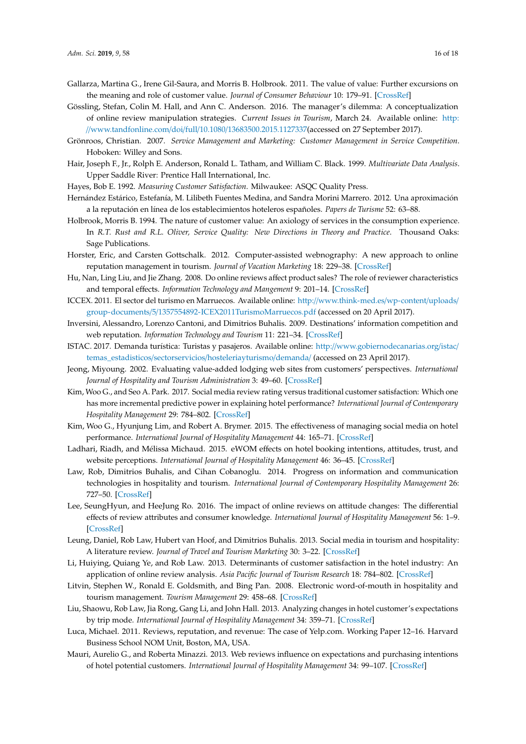- <span id="page-15-20"></span>Gallarza, Martina G., Irene Gil-Saura, and Morris B. Holbrook. 2011. The value of value: Further excursions on the meaning and role of customer value. *Journal of Consumer Behaviour* 10: 179–91. [\[CrossRef\]](http://dx.doi.org/10.1002/cb.328)
- <span id="page-15-13"></span>Gössling, Stefan, Colin M. Hall, and Ann C. Anderson. 2016. The manager's dilemma: A conceptualization of online review manipulation strategies. *Current Issues in Tourism*, March 24. Available online: [http:](http://www.tandfonline.com/doi/full/10.1080/13683500.2015.1127337) //www.tandfonline.com/doi/full/10.1080/[13683500.2015.1127337\(](http://www.tandfonline.com/doi/full/10.1080/13683500.2015.1127337)accessed on 27 September 2017).
- <span id="page-15-16"></span>Grönroos, Christian. 2007. *Service Management and Marketing: Customer Management in Service Competition*. Hoboken: Willey and Sons.
- <span id="page-15-17"></span>Hair, Joseph F., Jr., Rolph E. Anderson, Ronald L. Tatham, and William C. Black. 1999. *Multivariate Data Analysis*. Upper Saddle River: Prentice Hall International, Inc.

<span id="page-15-18"></span>Hayes, Bob E. 1992. *Measuring Customer Satisfaction*. Milwaukee: ASQC Quality Press.

- <span id="page-15-10"></span>Hernández Estárico, Estefanía, M. Lilibeth Fuentes Medina, and Sandra Morini Marrero. 2012. Una aproximación a la reputación en línea de los establecimientos hoteleros españoles. *Papers de Turisme* 52: 63–88.
- <span id="page-15-19"></span>Holbrook, Morris B. 1994. The nature of customer value: An axiology of services in the consumption experience. In *R.T. Rust and R.L. Oliver, Service Quality: New Directions in Theory and Practice*. Thousand Oaks: Sage Publications.
- <span id="page-15-15"></span>Horster, Eric, and Carsten Gottschalk. 2012. Computer-assisted webnography: A new approach to online reputation management in tourism. *Journal of Vacation Marketing* 18: 229–38. [\[CrossRef\]](http://dx.doi.org/10.1177/1356766712449369)
- <span id="page-15-14"></span>Hu, Nan, Ling Liu, and Jie Zhang. 2008. Do online reviews affect product sales? The role of reviewer characteristics and temporal effects. *Information Technology and Mangement* 9: 201–14. [\[CrossRef\]](http://dx.doi.org/10.1007/s10799-008-0041-2)
- <span id="page-15-23"></span>ICCEX. 2011. El sector del turismo en Marruecos. Available online: http://[www.think-med.es](http://www.think-med.es/wp-content/uploads/group-documents/5/1357554892-ICEX2011TurismoMarruecos.pdf)/wp-content/uploads/ group-documents/5/[1357554892-ICEX2011TurismoMarruecos.pdf](http://www.think-med.es/wp-content/uploads/group-documents/5/1357554892-ICEX2011TurismoMarruecos.pdf) (accessed on 20 April 2017).
- <span id="page-15-12"></span>Inversini, Alessandro, Lorenzo Cantoni, and Dimitrios Buhalis. 2009. Destinations' information competition and web reputation. *Information Technology and Tourism* 11: 221–34. [\[CrossRef\]](http://dx.doi.org/10.3727/109830509X12596187863991)
- <span id="page-15-22"></span>ISTAC. 2017. Demanda turística: Turistas y pasajeros. Available online: http://[www.gobiernodecanarias.org](http://www.gobiernodecanarias.org/istac/temas_estadisticos/sectorservicios/hosteleriayturismo/demanda/)/istac/ temas\_estadisticos/sectorservicios/[hosteleriayturismo](http://www.gobiernodecanarias.org/istac/temas_estadisticos/sectorservicios/hosteleriayturismo/demanda/)/demanda/ (accessed on 23 April 2017).
- <span id="page-15-21"></span>Jeong, Miyoung. 2002. Evaluating value-added lodging web sites from customers' perspectives. *International Journal of Hospitality and Tourism Administration* 3: 49–60. [\[CrossRef\]](http://dx.doi.org/10.1300/J149v03n01_03)
- <span id="page-15-1"></span>Kim, Woo G., and Seo A. Park. 2017. Social media review rating versus traditional customer satisfaction: Which one has more incremental predictive power in explaining hotel performance? *International Journal of Contemporary Hospitality Management* 29: 784–802. [\[CrossRef\]](http://dx.doi.org/10.1108/IJCHM-11-2015-0627)
- <span id="page-15-6"></span>Kim, Woo G., Hyunjung Lim, and Robert A. Brymer. 2015. The effectiveness of managing social media on hotel performance. *International Journal of Hospitality Management* 44: 165–71. [\[CrossRef\]](http://dx.doi.org/10.1016/j.ijhm.2014.10.014)
- <span id="page-15-11"></span>Ladhari, Riadh, and Mélissa Michaud. 2015. eWOM effects on hotel booking intentions, attitudes, trust, and website perceptions. *International Journal of Hospitality Management* 46: 36–45. [\[CrossRef\]](http://dx.doi.org/10.1016/j.ijhm.2015.01.010)
- <span id="page-15-0"></span>Law, Rob, Dimitrios Buhalis, and Cihan Cobanoglu. 2014. Progress on information and communication technologies in hospitality and tourism. *International Journal of Contemporary Hospitality Management* 26: 727–50. [\[CrossRef\]](http://dx.doi.org/10.1108/IJCHM-08-2013-0367)
- <span id="page-15-7"></span>Lee, SeungHyun, and HeeJung Ro. 2016. The impact of online reviews on attitude changes: The differential effects of review attributes and consumer knowledge. *International Journal of Hospitality Management* 56: 1–9. [\[CrossRef\]](http://dx.doi.org/10.1016/j.ijhm.2016.04.004)
- <span id="page-15-3"></span>Leung, Daniel, Rob Law, Hubert van Hoof, and Dimitrios Buhalis. 2013. Social media in tourism and hospitality: A literature review. *Journal of Travel and Tourism Marketing* 30: 3–22. [\[CrossRef\]](http://dx.doi.org/10.1080/10548408.2013.750919)
- <span id="page-15-9"></span>Li, Huiying, Quiang Ye, and Rob Law. 2013. Determinants of customer satisfaction in the hotel industry: An application of online review analysis. *Asia Pacific Journal of Tourism Research* 18: 784–802. [\[CrossRef\]](http://dx.doi.org/10.1080/10941665.2012.708351)
- <span id="page-15-4"></span>Litvin, Stephen W., Ronald E. Goldsmith, and Bing Pan. 2008. Electronic word-of-mouth in hospitality and tourism management. *Tourism Management* 29: 458–68. [\[CrossRef\]](http://dx.doi.org/10.1016/j.tourman.2007.05.011)
- <span id="page-15-5"></span>Liu, Shaowu, Rob Law, Jia Rong, Gang Li, and John Hall. 2013. Analyzing changes in hotel customer's expectations by trip mode. *International Journal of Hospitality Management* 34: 359–71. [\[CrossRef\]](http://dx.doi.org/10.1016/j.ijhm.2012.11.011)
- <span id="page-15-8"></span>Luca, Michael. 2011. Reviews, reputation, and revenue: The case of Yelp.com. Working Paper 12–16. Harvard Business School NOM Unit, Boston, MA, USA.
- <span id="page-15-2"></span>Mauri, Aurelio G., and Roberta Minazzi. 2013. Web reviews influence on expectations and purchasing intentions of hotel potential customers. *International Journal of Hospitality Management* 34: 99–107. [\[CrossRef\]](http://dx.doi.org/10.1016/j.ijhm.2013.02.012)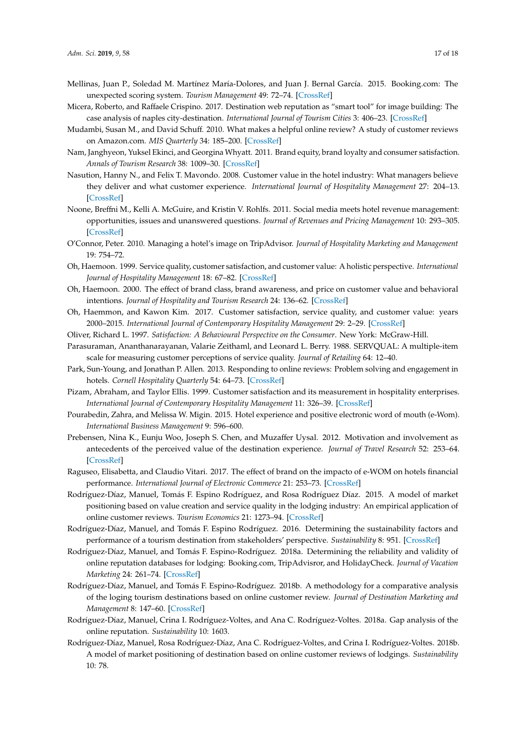- <span id="page-16-22"></span>Mellinas, Juan P., Soledad M. Martínez María-Dolores, and Juan J. Bernal García. 2015. Booking.com: The unexpected scoring system. *Tourism Management* 49: 72–74. [\[CrossRef\]](http://dx.doi.org/10.1016/j.tourman.2014.08.019)
- <span id="page-16-5"></span>Micera, Roberto, and Raffaele Crispino. 2017. Destination web reputation as "smart tool" for image building: The case analysis of naples city-destination. *International Journal of Tourism Cities* 3: 406–23. [\[CrossRef\]](http://dx.doi.org/10.1108/IJTC-11-2016-0048)
- <span id="page-16-13"></span>Mudambi, Susan M., and David Schuff. 2010. What makes a helpful online review? A study of customer reviews on Amazon.com. *MIS Quarterly* 34: 185–200. [\[CrossRef\]](http://dx.doi.org/10.2307/20721420)
- <span id="page-16-18"></span>Nam, Janghyeon, Yuksel Ekinci, and Georgina Whyatt. 2011. Brand equity, brand loyalty and consumer satisfaction. *Annals of Tourism Research* 38: 1009–30. [\[CrossRef\]](http://dx.doi.org/10.1016/j.annals.2011.01.015)
- <span id="page-16-16"></span>Nasution, Hanny N., and Felix T. Mavondo. 2008. Customer value in the hotel industry: What managers believe they deliver and what customer experience. *International Journal of Hospitality Management* 27: 204–13. [\[CrossRef\]](http://dx.doi.org/10.1016/j.ijhm.2007.02.003)
- <span id="page-16-2"></span>Noone, Breffni M., Kelli A. McGuire, and Kristin V. Rohlfs. 2011. Social media meets hotel revenue management: opportunities, issues and unanswered questions. *Journal of Revenues and Pricing Management* 10: 293–305. [\[CrossRef\]](http://dx.doi.org/10.1057/rpm.2011.12)
- <span id="page-16-4"></span>O'Connor, Peter. 2010. Managing a hotel's image on TripAdvisor. *Journal of Hospitality Marketing and Management* 19: 754–72.
- <span id="page-16-20"></span>Oh, Haemoon. 1999. Service quality, customer satisfaction, and customer value: A holistic perspective. *International Journal of Hospitality Management* 18: 67–82. [\[CrossRef\]](http://dx.doi.org/10.1016/S0278-4319(98)00047-4)
- <span id="page-16-17"></span>Oh, Haemoon. 2000. The effect of brand class, brand awareness, and price on customer value and behavioral intentions. *Journal of Hospitality and Tourism Research* 24: 136–62. [\[CrossRef\]](http://dx.doi.org/10.1177/109634800002400202)
- <span id="page-16-19"></span>Oh, Haemmon, and Kawon Kim. 2017. Customer satisfaction, service quality, and customer value: years 2000–2015. *International Journal of Contemporary Hospitality Management* 29: 2–29. [\[CrossRef\]](http://dx.doi.org/10.1108/IJCHM-10-2015-0594)
- <span id="page-16-15"></span><span id="page-16-14"></span>Oliver, Richard L. 1997. *Satisfaction: A Behavioural Perspective on the Consumer*. New York: McGraw-Hill.
- Parasuraman, Ananthanarayanan, Valarie Zeithaml, and Leonard L. Berry. 1988. SERVQUAL: A multiple-item scale for measuring customer perceptions of service quality. *Journal of Retailing* 64: 12–40.
- <span id="page-16-1"></span>Park, Sun-Young, and Jonathan P. Allen. 2013. Responding to online reviews: Problem solving and engagement in hotels. *Cornell Hospitality Quarterly* 54: 64–73. [\[CrossRef\]](http://dx.doi.org/10.1177/1938965512463118)
- <span id="page-16-3"></span>Pizam, Abraham, and Taylor Ellis. 1999. Customer satisfaction and its measurement in hospitality enterprises. *International Journal of Contemporary Hospitality Management* 11: 326–39. [\[CrossRef\]](http://dx.doi.org/10.1108/09596119910293231)
- <span id="page-16-7"></span>Pourabedin, Zahra, and Melissa W. Migin. 2015. Hotel experience and positive electronic word of mouth (e-Wom). *International Business Management* 9: 596–600.
- <span id="page-16-21"></span>Prebensen, Nina K., Eunju Woo, Joseph S. Chen, and Muzaffer Uysal. 2012. Motivation and involvement as antecedents of the perceived value of the destination experience. *Journal of Travel Research* 52: 253–64. [\[CrossRef\]](http://dx.doi.org/10.1177/0047287512461181)
- <span id="page-16-6"></span>Raguseo, Elisabetta, and Claudio Vitari. 2017. The effect of brand on the impacto of e-WOM on hotels financial performance. *International Journal of Electronic Commerce* 21: 253–73. [\[CrossRef\]](http://dx.doi.org/10.1080/10864415.2016.1234287)
- <span id="page-16-0"></span>Rodríguez-Díaz, Manuel, Tomás F. Espino Rodríguez, and Rosa Rodríguez Díaz. 2015. A model of market positioning based on value creation and service quality in the lodging industry: An empirical application of online customer reviews. *Tourism Economics* 21: 1273–94. [\[CrossRef\]](http://dx.doi.org/10.5367/te.2014.0404)
- <span id="page-16-11"></span>Rodríguez-Díaz, Manuel, and Tomás F. Espino Rodríguez. 2016. Determining the sustainability factors and performance of a tourism destination from stakeholders' perspective. *Sustainability* 8: 951. [\[CrossRef\]](http://dx.doi.org/10.3390/su8090951)
- <span id="page-16-8"></span>Rodríguez-Díaz, Manuel, and Tomás F. Espino-Rodríguez. 2018a. Determining the reliability and validity of online reputation databases for lodging: Booking.com, TripAdvisror, and HolidayCheck. *Journal of Vacation Marketing* 24: 261–74. [\[CrossRef\]](http://dx.doi.org/10.1177/1356766717706103)
- <span id="page-16-9"></span>Rodríguez-Díaz, Manuel, and Tomás F. Espino-Rodríguez. 2018b. A methodology for a comparative analysis of the loging tourism destinations based on online customer review. *Journal of Destination Marketing and Management* 8: 147–60. [\[CrossRef\]](http://dx.doi.org/10.1016/j.jdmm.2017.02.006)
- <span id="page-16-10"></span>Rodríguez-Díaz, Manuel, Crina I. Rodríguez-Voltes, and Ana C. Rodríguez-Voltes. 2018a. Gap analysis of the online reputation. *Sustainability* 10: 1603.
- <span id="page-16-12"></span>Rodríguez-Díaz, Manuel, Rosa Rodríguez-Díaz, Ana C. Rodríguez-Voltes, and Crina I. Rodríguez-Voltes. 2018b. A model of market positioning of destination based on online customer reviews of lodgings. *Sustainability* 10: 78.